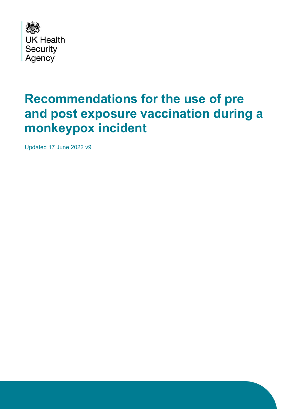

### **Recommendations for the use of pre and post exposure vaccination during a monkeypox incident**

Updated 17 June 2022 v9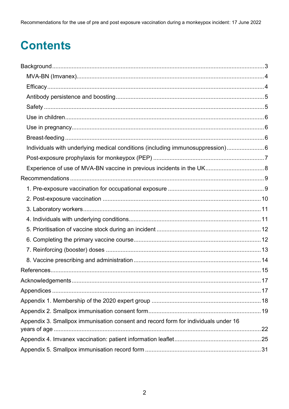Recommendations for the use of pre and post exposure vaccination during a monkeypox incident: 17 June 2022

# **Contents**

| Individuals with underlying medical conditions (including immunosuppression) 6     |  |
|------------------------------------------------------------------------------------|--|
|                                                                                    |  |
|                                                                                    |  |
|                                                                                    |  |
|                                                                                    |  |
|                                                                                    |  |
|                                                                                    |  |
|                                                                                    |  |
|                                                                                    |  |
|                                                                                    |  |
|                                                                                    |  |
|                                                                                    |  |
|                                                                                    |  |
|                                                                                    |  |
|                                                                                    |  |
|                                                                                    |  |
|                                                                                    |  |
| Appendix 3. Smallpox immunisation consent and record form for individuals under 16 |  |
|                                                                                    |  |
|                                                                                    |  |
|                                                                                    |  |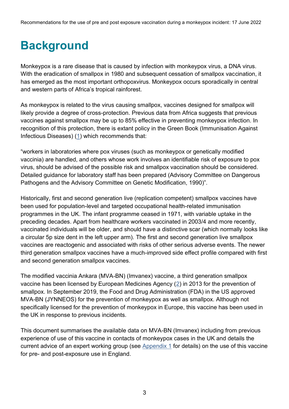# <span id="page-2-0"></span>**Background**

Monkeypox is a rare disease that is caused by infection with monkeypox virus, a DNA virus. With the eradication of smallpox in 1980 and subsequent cessation of smallpox vaccination, it has emerged as the most important orthopoxvirus. Monkeypox occurs sporadically in central and western parts of Africa's tropical rainforest.

As monkeypox is related to the virus causing smallpox, vaccines designed for smallpox will likely provide a degree of cross-protection. Previous data from Africa suggests that previous vaccines against smallpox may be up to 85% effective in preventing monkeypox infection. In recognition of this protection, there is extant policy in the Green Book (Immunisation Against Infectious Diseases) [\(1\)](#page-14-0) which recommends that:

"workers in laboratories where pox viruses (such as monkeypox or genetically modified vaccinia) are handled, and others whose work involves an identifiable risk of exposure to pox virus, should be advised of the possible risk and smallpox vaccination should be considered. Detailed guidance for laboratory staff has been prepared (Advisory Committee on Dangerous Pathogens and the Advisory Committee on Genetic Modification, 1990)".

Historically, first and second generation live (replication competent) smallpox vaccines have been used for population-level and targeted occupational health-related immunisation programmes in the UK. The infant programme ceased in 1971, with variable uptake in the preceding decades. Apart from healthcare workers vaccinated in 2003/4 and more recently, vaccinated individuals will be older, and should have a distinctive scar (which normally looks like a circular 5p size dent in the left upper arm). The first and second generation live smallpox vaccines are reactogenic and associated with risks of other serious adverse events. The newer third generation smallpox vaccines have a much-improved side effect profile compared with first and second generation smallpox vaccines.

The modified vaccinia Ankara (MVA-BN) (Imvanex) vaccine, a third generation smallpox vaccine has been licensed by European Medicines Agency [\(2\)](#page-14-1) in 2013 for the prevention of smallpox. In September 2019, the Food and Drug Administration (FDA) in the US approved MVA-BN (JYNNEOS) for the prevention of monkeypox as well as smallpox. Although not specifically licensed for the prevention of monkeypox in Europe, this vaccine has been used in the UK in response to previous incidents.

<span id="page-2-1"></span>This document summarises the available data on MVA-BN (Imvanex) including from previous experience of use of this vaccine in contacts of monkeypox cases in the UK and details the current advice of an expert working group (see [Appendix 1](#page-17-0) for details) on the use of this vaccine for pre- and post-exposure use in England.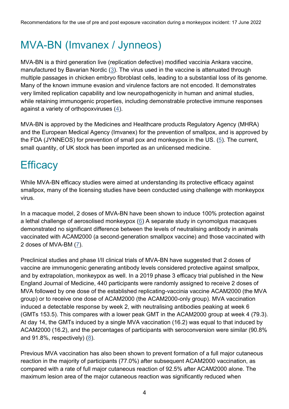### MVA-BN (Imvanex / Jynneos)

MVA-BN is a third generation live (replication defective) modified vaccinia Ankara vaccine, manufactured by Bavarian Nordic  $(3)$ . The virus used in the vaccine is attenuated through multiple passages in chicken embryo fibroblast cells, leading to a substantial loss of its genome. Many of the known immune evasion and virulence factors are not encoded. It demonstrates very limited replication capability and low neuropathogenicity in human and animal studies, while retaining immunogenic properties, including demonstrable protective immune responses against a variety of orthopoxviruses [\(4\)](#page-14-3).

MVA-BN is approved by the Medicines and Healthcare products Regulatory Agency (MHRA) and the European Medical Agency (Imvanex) for the prevention of smallpox, and is approved by the FDA (JYNNEOS) for prevention of small pox and monkeypox in the US.  $(5)$ . The current, small quantity, of UK stock has been imported as an unlicensed medicine.

### <span id="page-3-0"></span>**Efficacy**

While MVA-BN efficacy studies were aimed at understanding its protective efficacy against smallpox, many of the licensing studies have been conducted using challenge with monkeypox virus.

In a macaque model, 2 doses of MVA-BN have been shown to induce 100% protection against a lethal challenge of aerosolised monkeypox [\(6\)](#page-14-5) A separate study in cynomolgus macaques demonstrated no significant difference between the levels of neutralising antibody in animals vaccinated with ACAM2000 (a second-generation smallpox vaccine) and those vaccinated with 2 doses of MVA-BM [\(7\)](#page-14-6).

Preclinical studies and phase I/II clinical trials of MVA-BN have suggested that 2 doses of vaccine are immunogenic generating antibody levels considered protective against smallpox, and by extrapolation, monkeypox as well. In a 2019 phase 3 efficacy trial published in the New England Journal of Medicine, 440 participants were randomly assigned to receive 2 doses of MVA followed by one dose of the established replicating-vaccinia vaccine ACAM2000 (the MVA group) or to receive one dose of ACAM2000 (the ACAM2000-only group). MVA vaccination induced a detectable response by week 2, with neutralising antibodies peaking at week 6 (GMTs 153.5). This compares with a lower peak GMT in the ACAM2000 group at week 4 (79.3). At day 14, the GMTs induced by a single MVA vaccination (16.2) was equal to that induced by ACAM2000 (16.2), and the percentages of participants with seroconversion were similar (90.8% and 91.8%, respectively) [\(8\)](#page-14-7).

Previous MVA vaccination has also been shown to prevent formation of a full major cutaneous reaction in the majority of participants (77.0%) after subsequent ACAM2000 vaccination, as compared with a rate of full major cutaneous reaction of 92.5% after ACAM2000 alone. The maximum lesion area of the major cutaneous reaction was significantly reduced when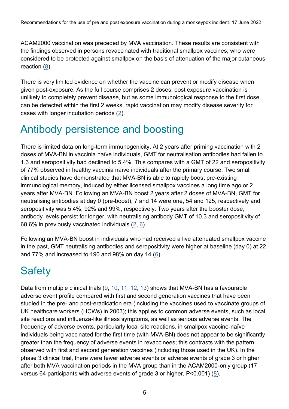ACAM2000 vaccination was preceded by MVA vaccination. These results are consistent with the findings observed in persons revaccinated with traditional smallpox vaccines, who were considered to be protected against smallpox on the basis of attenuation of the major cutaneous reaction [\(8\)](#page-14-7).

There is very limited evidence on whether the vaccine can prevent or modify disease when given post-exposure. As the full course comprises 2 doses, post exposure vaccination is unlikely to completely prevent disease, but as some immunological response to the first dose can be detected within the first 2 weeks, rapid vaccination may modify disease severity for cases with longer incubation periods [\(2\)](#page-14-1).

#### <span id="page-4-0"></span>Antibody persistence and boosting

There is limited data on long-term immunogenicity. At 2 years after priming vaccination with 2 doses of MVA-BN in vaccinia naïve individuals, GMT for neutralisation antibodies had fallen to 1.3 and seropositivity had declined to 5.4%. This compares with a GMT of 22 and seropositivity of 77% observed in healthy vaccinia naïve individuals after the primary course. Two small clinical studies have demonstrated that MVA-BN is able to rapidly boost pre-existing immunological memory, induced by either licensed smallpox vaccines a long time ago or 2 years after MVA-BN. Following an MVA-BN boost 2 years after 2 doses of MVA-BN, GMT for neutralising antibodies at day 0 (pre-boost), 7 and 14 were one, 54 and 125, respectively and seropositivity was 5.4%, 92% and 99%, respectively. Two years after the booster dose, antibody levels persist for longer, with neutralising antibody GMT of 10.3 and seropositivity of 68.6% in previously vaccinated individuals  $(2, 6)$  $(2, 6)$  $(2, 6)$ .

Following an MVA-BN boost in individuals who had received a live attenuated smallpox vaccine in the past, GMT neutralising antibodies and seropositivity were higher at baseline (day 0) at 22 and 77% and increased to 190 and 98% on day 14 [\(6\)](#page-14-5).

### <span id="page-4-1"></span>**Safety**

<span id="page-4-2"></span>Data from multiple clinical trials  $(9, 10, 11, 12, 13)$  $(9, 10, 11, 12, 13)$  $(9, 10, 11, 12, 13)$  $(9, 10, 11, 12, 13)$  $(9, 10, 11, 12, 13)$  $(9, 10, 11, 12, 13)$  shows that MVA-BN has a favourable adverse event profile compared with first and second generation vaccines that have been studied in the pre- and post-eradication era (including the vaccines used to vaccinate groups of UK healthcare workers (HCWs) in 2003); this applies to common adverse events, such as local site reactions and influenza-like illness symptoms, as well as serious adverse events. The frequency of adverse events, particularly local site reactions, in smallpox vaccine-naïve individuals being vaccinated for the first time (with MVA-BN) does not appear to be significantly greater than the frequency of adverse events in revaccinees; this contrasts with the pattern observed with first and second generation vaccines (including those used in the UK). In the phase 3 clinical trial, there were fewer adverse events or adverse events of grade 3 or higher after both MVA vaccination periods in the MVA group than in the ACAM2000-only group (17 versus 64 participants with adverse events of grade 3 or higher,  $P < 0.001$ ) ( $8$ ).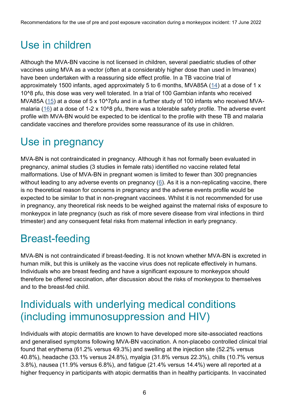### Use in children

Although the MVA-BN vaccine is not licensed in children, several paediatric studies of other vaccines using MVA as a vector (often at a considerably higher dose than used in Imvanex) have been undertaken with a reassuring side effect profile. In a TB vaccine trial of approximately 1500 infants, aged approximately 5 to 6 months, MVA85A [\(14\)](#page-14-12) at a dose of 1 x 10^8 pfu, this dose was very well tolerated. In a trial of 100 Gambian infants who received MVA85A [\(15\)](#page-14-13) at a dose of 5 x 10^7pfu and in a further study of 100 infants who received MVA-malaria [\(16\)](#page-15-0) at a dose of 1-2 x 10<sup> $\lambda$ </sup>8 pfu, there was a tolerable safety profile. The adverse event profile with MVA-BN would be expected to be identical to the profile with these TB and malaria candidate vaccines and therefore provides some reassurance of its use in children.

#### <span id="page-5-0"></span>Use in pregnancy

MVA-BN is not contraindicated in pregnancy. Although it has not formally been evaluated in pregnancy, animal studies (3 studies in female rats) identified no vaccine related fetal malformations. Use of MVA-BN in pregnant women is limited to fewer than 300 pregnancies without leading to any adverse events on pregnancy  $(6)$ . As it is a non-replicating vaccine, there is no theoretical reason for concerns in pregnancy and the adverse events profile would be expected to be similar to that in non-pregnant vaccinees. Whilst it is not recommended for use in pregnancy, any theoretical risk needs to be weighed against the maternal risks of exposure to monkeypox in late pregnancy (such as risk of more severe disease from viral infections in third trimester) and any consequent fetal risks from maternal infection in early pregnancy.

### <span id="page-5-1"></span>Breast-feeding

MVA-BN is not contraindicated if breast-feeding. It is not known whether MVA-BN is excreted in human milk, but this is unlikely as the vaccine virus does not replicate effectively in humans. Individuals who are breast feeding and have a significant exposure to monkeypox should therefore be offered vaccination, after discussion about the risks of monkeypox to themselves and to the breast-fed child.

### <span id="page-5-2"></span>Individuals with underlying medical conditions (including immunosuppression and HIV)

Individuals with atopic dermatitis are known to have developed more site-associated reactions and generalised symptoms following MVA-BN vaccination. A non-placebo controlled clinical trial found that erythema (61.2% versus 49.3%) and swelling at the injection site (52.2% versus 40.8%), headache (33.1% versus 24.8%), myalgia (31.8% versus 22.3%), chills (10.7% versus 3.8%), nausea (11.9% versus 6.8%), and fatigue (21.4% versus 14.4%) were all reported at a higher frequency in participants with atopic dermatitis than in healthy participants. In vaccinated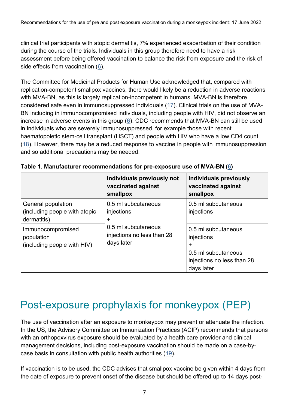clinical trial participants with atopic dermatitis, 7% experienced exacerbation of their condition during the course of the trials. Individuals in this group therefore need to have a risk assessment before being offered vaccination to balance the risk from exposure and the risk of side effects from vaccination [\(6\)](#page-14-5).

The Committee for Medicinal Products for Human Use acknowledged that, compared with replication-competent smallpox vaccines, there would likely be a reduction in adverse reactions with MVA-BN, as this is largely replication-incompetent in humans. MVA-BN is therefore considered safe even in immunosuppressed individuals [\(17\)](#page-15-1). Clinical trials on the use of MVA-BN including in immunocompromised individuals, including people with HIV, did not observe an increase in adverse events in this group [\(6\)](#page-14-5). CDC recommends that MVA-BN can still be used in individuals who are severely immunosuppressed, for example those with recent haematopoietic stem-cell transplant (HSCT) and people with HIV who have a low CD4 count  $(18)$ . However, there may be a reduced response to vaccine in people with immunosuppression and so additional precautions may be needed.

|                                                                    | Individuals previously not<br>vaccinated against<br>smallpox    | <b>Individuals previously</b><br>vaccinated against<br>smallpox                                           |
|--------------------------------------------------------------------|-----------------------------------------------------------------|-----------------------------------------------------------------------------------------------------------|
| General population<br>(including people with atopic<br>dermatitis) | 0.5 ml subcutaneous<br>injections<br>$\ddot{}$                  | 0.5 ml subcutaneous<br>injections                                                                         |
| Immunocompromised<br>population<br>(including people with HIV)     | 0.5 ml subcutaneous<br>injections no less than 28<br>days later | 0.5 ml subcutaneous<br>injections<br>+<br>0.5 ml subcutaneous<br>injections no less than 28<br>days later |

**Table 1. Manufacturer recommendations for pre-exposure use of MVA-BN [\(6\)](#page-14-5)**

#### <span id="page-6-0"></span>Post-exposure prophylaxis for monkeypox (PEP)

The use of vaccination after an exposure to monkeypox may prevent or attenuate the infection. In the US, the Advisory Committee on Immunization Practices (ACIP) recommends that persons with an orthopoxvirus exposure should be evaluated by a health care provider and clinical management decisions, including post-exposure vaccination should be made on a case-by-case basis in consultation with public health authorities [\(19\)](#page-15-3).

If vaccination is to be used, the CDC advises that smallpox vaccine be given within 4 days from the date of exposure to prevent onset of the disease but should be offered up to 14 days post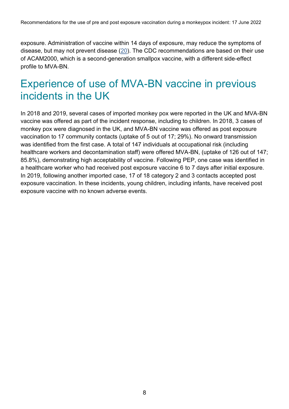exposure. Administration of vaccine within 14 days of exposure, may reduce the symptoms of disease, but may not prevent disease [\(20\)](#page-15-4). The CDC recommendations are based on their use of ACAM2000, which is a second-generation smallpox vaccine, with a different side-effect profile to MVA-BN.

### <span id="page-7-0"></span>Experience of use of MVA-BN vaccine in previous incidents in the UK

<span id="page-7-1"></span>In 2018 and 2019, several cases of imported monkey pox were reported in the UK and MVA-BN vaccine was offered as part of the incident response, including to children. In 2018, 3 cases of monkey pox were diagnosed in the UK, and MVA-BN vaccine was offered as post exposure vaccination to 17 community contacts (uptake of 5 out of 17; 29%). No onward transmission was identified from the first case. A total of 147 individuals at occupational risk (including healthcare workers and decontamination staff) were offered MVA-BN, (uptake of 126 out of 147; 85.8%), demonstrating high acceptability of vaccine. Following PEP, one case was identified in a healthcare worker who had received post exposure vaccine 6 to 7 days after initial exposure. In 2019, following another imported case, 17 of 18 category 2 and 3 contacts accepted post exposure vaccination. In these incidents, young children, including infants, have received post exposure vaccine with no known adverse events.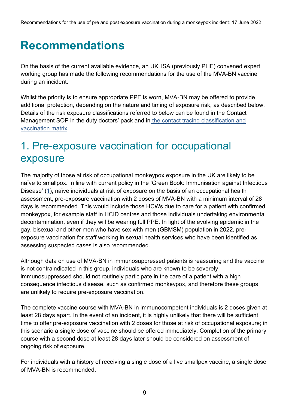### **Recommendations**

On the basis of the current available evidence, an UKHSA (previously PHE) convened expert working group has made the following recommendations for the use of the MVA-BN vaccine during an incident.

Whilst the priority is to ensure appropriate PPE is worn, MVA-BN may be offered to provide additional protection, depending on the nature and timing of exposure risk, as described below. Details of the risk exposure classifications referred to below can be found in the Contact Management SOP in the duty doctors' pack and in [the contact tracing classification and](https://www.gov.uk/government/publications/monkeypox-contact-tracing)  [vaccination matrix.](https://www.gov.uk/government/publications/monkeypox-contact-tracing)

### <span id="page-8-0"></span>1. Pre-exposure vaccination for occupational exposure

The majority of those at risk of occupational monkeypox exposure in the UK are likely to be naïve to smallpox. In line with current policy in the 'Green Book: Immunisation against Infectious Disease' [\(1\)](#page-14-0), naïve individuals at risk of exposure on the basis of an occupational health assessment, pre-exposure vaccination with 2 doses of MVA-BN with a minimum interval of 28 days is recommended. This would include those HCWs due to care for a patient with confirmed monkeypox, for example staff in HCID centres and those individuals undertaking environmental decontamination, even if they will be wearing full PPE. In light of the evolving epidemic in the gay, bisexual and other men who have sex with men (GBMSM) population in 2022, preexposure vaccination for staff working in sexual health services who have been identified as assessing suspected cases is also recommended.

Although data on use of MVA-BN in immunosuppressed patients is reassuring and the vaccine is not contraindicated in this group, individuals who are known to be severely immunosuppressed should not routinely participate in the care of a patient with a high consequence infectious disease, such as confirmed monkeypox, and therefore these groups are unlikely to require pre-exposure vaccination.

The complete vaccine course with MVA-BN in immunocompetent individuals is 2 doses given at least 28 days apart. In the event of an incident, it is highly unlikely that there will be sufficient time to offer pre-exposure vaccination with 2 doses for those at risk of occupational exposure; in this scenario a single dose of vaccine should be offered immediately. Completion of the primary course with a second dose at least 28 days later should be considered on assessment of ongoing risk of exposure.

For individuals with a history of receiving a single dose of a live smallpox vaccine, a single dose of MVA-BN is recommended.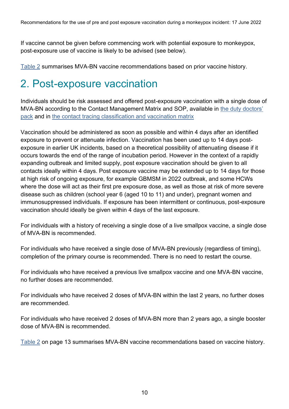If vaccine cannot be given before commencing work with potential exposure to monkeypox, post-exposure use of vaccine is likely to be advised (see below).

[Table 2](#page-12-1) summarises MVA-BN vaccine recommendations based on prior vaccine history.

### <span id="page-9-0"></span>2. Post-exposure vaccination

Individuals should be risk assessed and offered post-exposure vaccination with a single dose of MVA-BN according to the Contact Management Matrix and SOP, available in [the duty doctors'](http://phenet.phe.gov.uk/Resources/duty-doctors/Pages/Emerging-infections-and-zoonoses.aspx)  [pack](http://phenet.phe.gov.uk/Resources/duty-doctors/Pages/Emerging-infections-and-zoonoses.aspx) and in [the contact tracing classification and vaccination matrix](https://www.gov.uk/government/publications/monkeypox-contact-tracing)

Vaccination should be administered as soon as possible and within 4 days after an identified exposure to prevent or attenuate infection. Vaccination has been used up to 14 days postexposure in earlier UK incidents, based on a theoretical possibility of attenuating disease if it occurs towards the end of the range of incubation period. However in the context of a rapidly expanding outbreak and limited supply, post exposure vaccination should be given to all contacts ideally within 4 days. Post exposure vaccine may be extended up to 14 days for those at high risk of ongoing exposure, for example GBMSM in 2022 outbreak, and some HCWs where the dose will act as their first pre exposure dose, as well as those at risk of more severe disease such as children (school year 6 (aged 10 to 11) and under), pregnant women and immunosuppressed individuals. If exposure has been intermittent or continuous, post-exposure vaccination should ideally be given within 4 days of the last exposure.

For individuals with a history of receiving a single dose of a live smallpox vaccine, a single dose of MVA-BN is recommended.

For individuals who have received a single dose of MVA-BN previously (regardless of timing), completion of the primary course is recommended. There is no need to restart the course.

For individuals who have received a previous live smallpox vaccine and one MVA-BN vaccine, no further doses are recommended.

For individuals who have received 2 doses of MVA-BN within the last 2 years, no further doses are recommended.

For individuals who have received 2 doses of MVA-BN more than 2 years ago, a single booster dose of MVA-BN is recommended.

[Table 2](#page-12-1) on page 13 summarises MVA-BN vaccine recommendations based on vaccine history.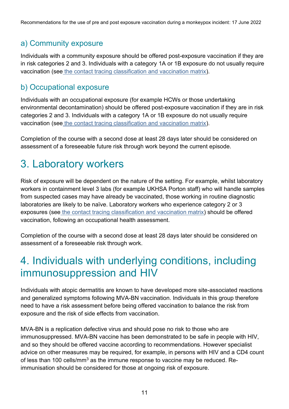#### a) Community exposure

Individuals with a community exposure should be offered post-exposure vaccination if they are in risk categories 2 and 3. Individuals with a category 1A or 1B exposure do not usually require vaccination (see [the contact tracing classification and vaccination matrix\)](https://www.gov.uk/government/publications/monkeypox-contact-tracing).

#### b) Occupational exposure

Individuals with an occupational exposure (for example HCWs or those undertaking environmental decontamination) should be offered post-exposure vaccination if they are in risk categories 2 and 3. Individuals with a category 1A or 1B exposure do not usually require vaccination (see [the contact tracing classification and vaccination matrix\)](https://www.gov.uk/government/publications/monkeypox-contact-tracing).

Completion of the course with a second dose at least 28 days later should be considered on assessment of a foreseeable future risk through work beyond the current episode.

### <span id="page-10-0"></span>3. Laboratory workers

Risk of exposure will be dependent on the nature of the setting. For example, whilst laboratory workers in containment level 3 labs (for example UKHSA Porton staff) who will handle samples from suspected cases may have already be vaccinated, those working in routine diagnostic laboratories are likely to be naïve. Laboratory workers who experience category 2 or 3 exposures (see [the contact tracing classification and vaccination matrix\)](https://www.gov.uk/government/publications/monkeypox-contact-tracing) should be offered vaccination, following an occupational health assessment.

<span id="page-10-1"></span>Completion of the course with a second dose at least 28 days later should be considered on assessment of a foreseeable risk through work.

### 4. Individuals with underlying conditions, including immunosuppression and HIV

Individuals with atopic dermatitis are known to have developed more site-associated reactions and generalized symptoms following MVA-BN vaccination. Individuals in this group therefore need to have a risk assessment before being offered vaccination to balance the risk from exposure and the risk of side effects from vaccination.

MVA-BN is a replication defective virus and should pose no risk to those who are immunosuppressed. MVA-BN vaccine has been demonstrated to be safe in people with HIV, and so they should be offered vaccine according to recommendations. However specialist advice on other measures may be required, for example, in persons with HIV and a CD4 count of less than 100 cells/mm<sup>3</sup> as the immune response to vaccine may be reduced. Reimmunisation should be considered for those at ongoing risk of exposure.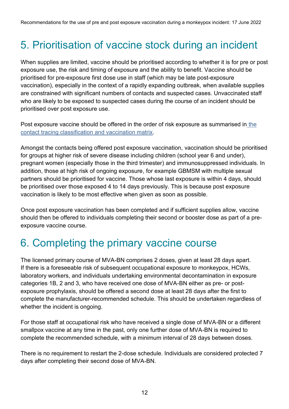### <span id="page-11-0"></span>5. Prioritisation of vaccine stock during an incident

When supplies are limited, vaccine should be prioritised according to whether it is for pre or post exposure use, the risk and timing of exposure and the ability to benefit. Vaccine should be prioritised for pre-exposure first dose use in staff (which may be late post-exposure vaccination), especially in the context of a rapidly expanding outbreak, when available supplies are constrained with significant numbers of contacts and suspected cases. Unvaccinated staff who are likely to be exposed to suspected cases during the course of an incident should be prioritised over post exposure use.

Post exposure vaccine should be offered in [the](https://www.gov.uk/government/publications/monkeypox-contact-tracing) order of risk exposure as summarised in the [contact tracing classification and vaccination matrix.](https://www.gov.uk/government/publications/monkeypox-contact-tracing)

Amongst the contacts being offered post exposure vaccination, vaccination should be prioritised for groups at higher risk of severe disease including children (school year 6 and under), pregnant women (especially those in the third trimester) and immunosuppressed individuals. In addition, those at high risk of ongoing exposure, for example GBMSM with multiple sexual partners should be prioritised for vaccine. Those whose last exposure is within 4 days, should be prioritised over those exposed 4 to 14 days previously. This is because post exposure vaccination is likely to be most effective when given as soon as possible.

<span id="page-11-2"></span>Once post exposure vaccination has been completed and if sufficient supplies allow, vaccine should then be offered to individuals completing their second or booster dose as part of a preexposure vaccine course.

#### <span id="page-11-1"></span>6. Completing the primary vaccine course

The licensed primary course of MVA-BN comprises 2 doses, given at least 28 days apart. If there is a foreseeable risk of subsequent occupational exposure to monkeypox, HCWs, laboratory workers, and individuals undertaking environmental decontamination in exposure categories 1B, 2 and 3, who have received one dose of MVA-BN either as pre- or postexposure prophylaxis, should be offered a second dose at least 28 days after the first to complete the manufacturer-recommended schedule. This should be undertaken regardless of whether the incident is ongoing.

For those staff at occupational risk who have received a single dose of MVA-BN or a different smallpox vaccine at any time in the past, only one further dose of MVA-BN is required to complete the recommended schedule, with a minimum interval of 28 days between doses.

There is no requirement to restart the 2-dose schedule. Individuals are considered protected 7 days after completing their second dose of MVA-BN.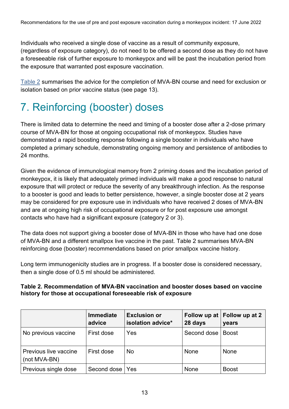Individuals who received a single dose of vaccine as a result of community exposure, (regardless of exposure category), do not need to be offered a second dose as they do not have a foreseeable risk of further exposure to monkeypox and will be past the incubation period from the exposure that warranted post exposure vaccination.

[Table 2](#page-12-1) summarises the advice for the completion of MVA-BN course and need for exclusion or isolation based on prior vaccine status (see page 13).

### <span id="page-12-0"></span>7. Reinforcing (booster) doses

There is limited data to determine the need and timing of a booster dose after a 2-dose primary course of MVA-BN for those at ongoing occupational risk of monkeypox. Studies have demonstrated a rapid boosting response following a single booster in individuals who have completed a primary schedule, demonstrating ongoing memory and persistence of antibodies to 24 months.

Given the evidence of immunological memory from 2 priming doses and the incubation period of monkeypox, it is likely that adequately primed individuals will make a good response to natural exposure that will protect or reduce the severity of any breakthrough infection. As the response to a booster is good and leads to better persistence, however, a single booster dose at 2 years may be considered for pre exposure use in individuals who have received 2 doses of MVA-BN and are at ongoing high risk of occupational exposure or for post exposure use amongst contacts who have had a significant exposure (category 2 or 3).

The data does not support giving a booster dose of MVA-BN in those who have had one dose of MVA-BN and a different smallpox live vaccine in the past. Table 2 summarises MVA-BN reinforcing dose (booster) recommendations based on prior smallpox vaccine history.

Long term immunogenicity studies are in progress. If a booster dose is considered necessary, then a single dose of 0.5 ml should be administered.

#### <span id="page-12-1"></span>**Table 2. Recommendation of MVA-BN vaccination and booster doses based on vaccine history for those at occupational foreseeable risk of exposure**

|                                       | <b>Immediate</b><br>advice | <b>Exclusion or</b><br>isolation advice* | 28 days     | Follow up at Follow up at 2<br>years |
|---------------------------------------|----------------------------|------------------------------------------|-------------|--------------------------------------|
| No previous vaccine                   | First dose                 | Yes                                      | Second dose | <b>Boost</b>                         |
| Previous live vaccine<br>(not MVA-BN) | First dose                 | No                                       | None        | None                                 |
| Previous single dose                  | Second dose   Yes          |                                          | None        | <b>Boost</b>                         |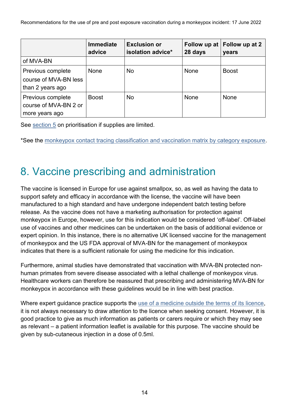Recommendations for the use of pre and post exposure vaccination during a monkeypox incident: 17 June 2022

|                                                                | <b>Immediate</b><br>advice | <b>Exclusion or</b><br>isolation advice* | 28 days | Follow up at Follow up at 2<br>years |
|----------------------------------------------------------------|----------------------------|------------------------------------------|---------|--------------------------------------|
| of MVA-BN                                                      |                            |                                          |         |                                      |
| Previous complete<br>course of MVA-BN less<br>than 2 years ago | None                       | <b>No</b>                                | None    | <b>Boost</b>                         |
| Previous complete<br>course of MVA-BN 2 or<br>more years ago   | <b>Boost</b>               | No.                                      | None    | None                                 |

See [section 5](#page-11-0) on prioritisation if supplies are limited.

\*See the [monkeypox contact tracing classification and vaccination matrix by category exposure.](https://www.gov.uk/government/publications/monkeypox-contact-tracing)

### <span id="page-13-0"></span>8. Vaccine prescribing and administration

The vaccine is licensed in Europe for use against smallpox, so, as well as having the data to support safety and efficacy in accordance with the license, the vaccine will have been manufactured to a high standard and have undergone independent batch testing before release. As the vaccine does not have a marketing authorisation for protection against monkeypox in Europe, however, use for this indication would be considered 'off-label'. Off-label use of vaccines and other medicines can be undertaken on the basis of additional evidence or expert opinion. In this instance, there is no alternative UK licensed vaccine for the management of monkeypox and the US FDA approval of MVA-BN for the management of monkeypox indicates that there is a sufficient rationale for using the medicine for this indication.

Furthermore, animal studies have demonstrated that vaccination with MVA-BN protected nonhuman primates from severe disease associated with a lethal challenge of monkeypox virus. Healthcare workers can therefore be reassured that prescribing and administering MVA-BN for monkeypox in accordance with these guidelines would be in line with best practice.

<span id="page-13-1"></span>Where expert guidance practice supports the [use of a medicine outside the terms of its licence,](https://www.gov.uk/drug-safety-update/off-label-or-unlicensed-use-of-medicines-prescribers-responsibilities) it is not always necessary to draw attention to the licence when seeking consent. However, it is good practice to give as much information as patients or carers require or which they may see as relevant – a patient information leaflet is available for this purpose. The vaccine should be given by sub-cutaneous injection in a dose of 0.5ml.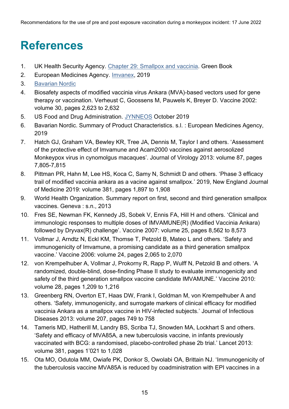### **References**

- <span id="page-14-0"></span>1. UK Health Security Agency. [Chapter 29: Smallpox and vaccinia.](https://www.gov.uk/government/publications/smallpox-and-vaccinia-the-green-book-chapter-29) Green Book
- <span id="page-14-1"></span>2. European Medicines Agency. [Imvanex,](https://www.ema.europa.eu/en/medicines/human/EPAR/imvanex) 2019
- <span id="page-14-2"></span>3. [Bavarian Nordic](https://www.bavarian-nordic.com/)
- <span id="page-14-3"></span>4. Biosafety aspects of modified vaccinia virus Ankara (MVA)-based vectors used for gene therapy or vaccination. Verheust C, Goossens M, Pauwels K, Breyer D. Vaccine 2002: volume 30, pages 2,623 to 2,632
- <span id="page-14-4"></span>5. US Food and Drug Administration. [JYNNEOS](https://www.fda.gov/vaccines-blood-biologics/jynneos) October 2019
- <span id="page-14-5"></span>6. Bavarian Nordic. Summary of Product Characteristics. s.l. : European Medicines Agency, 2019
- <span id="page-14-6"></span>7. Hatch GJ, Graham VA, Bewley KR, Tree JA, Dennis M, Taylor I and others. 'Assessment of the protective effect of Imvamune and Acam2000 vaccines against aerosolized Monkeypox virus in cynomolgus macaques'. Journal of Virology 2013: volume 87, pages 7,805-7,815
- <span id="page-14-7"></span>8. Pittman PR, Hahn M, Lee HS, Koca C, Samy N, Schmidt D and others. 'Phase 3 efficacy trail of modified vaccinia ankara as a vacine against smallpox.' 2019, New England Journal of Medicine 2019: volume 381, pages 1,897 to 1,908
- <span id="page-14-8"></span>9. World Health Organization. Summary report on first, second and third generation smallpox vaccines. Geneva : s.n., 2013
- 10. Fres SE, Newman FK, Kennedy JS, Sobek V, Ennis FA, Hill H and others. 'Clinical and immunologic responses to multiple doses of IMVAMUNE(R) (Modified Vaccinia Ankara) followed by Dryvax(R) challenge'. Vaccine 2007: volume 25, pages 8,562 to 8,573
- <span id="page-14-9"></span>11. Vollmar J, Arndtz N, Eckl KM, Thomse T, Petzold B, Mateo L and others. 'Safety and immunogenicity of Imvamune, a promising candidate as a third generation smallpox vaccine.' Vaccine 2006: volume 24, pages 2,065 to 2,070
- <span id="page-14-10"></span>12. von Krempelhuber A, Vollmar J, Prokorny R, Rapp P, Wulff N, Petzold B and others. 'A randomized, double-blind, dose-finding Phase II study to evaluate immunogenicity and safety of the third generation smallpox vaccine candidate IMVAMUNE.' Vaccine 2010: volume 28, pages 1,209 to 1,216
- <span id="page-14-11"></span>13. Greenberg RN, Overton ET, Haas DW, Frank I, Goldman M, von Krempelhuber A and others. 'Safety, immunogenicity, and surrogate markers of clinical efficacy for modified vaccinia Ankara as a smallpox vaccine in HIV-infected subjects.' Journal of Infectious Diseases 2013: volume 207, pages 749 to 758
- <span id="page-14-12"></span>14. Tameris MD, Hatherill M, Landry BS, Scriba TJ, Snowden MA, Lockhart S and others. 'Safety and efficacy of MVA85A, a new tuberculosis vaccine, in infants previously vaccinated with BCG: a randomised, placebo-controlled phase 2b trial.' Lancet 2013: volume 381, pages 1'021 to 1,028
- <span id="page-14-13"></span>15. Ota MO, Odutola MM, Owiafe PK, Donkor S, Owolabi OA, Brittain NJ. 'Immunogenicity of the tuberculosis vaccine MVA85A is reduced by coadministration with EPI vaccines in a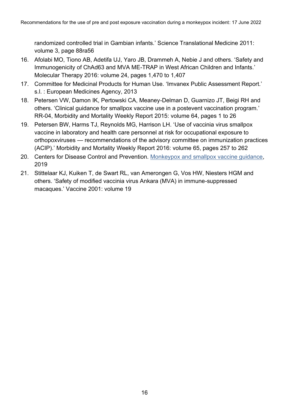randomized controlled trial in Gambian infants.' Science Translational Medicine 2011: volume 3, page 88ra56

- <span id="page-15-0"></span>16. Afolabi MO, Tiono AB, Adetifa UJ, Yaro JB, Drammeh A, Nebie J and others. 'Safety and Immunogenicity of ChAd63 and MVA ME-TRAP in West African Children and Infants.' Molecular Therapy 2016: volume 24, pages 1,470 to 1,407
- <span id="page-15-1"></span>17. Committee for Medicinal Products for Human Use. 'Imvanex Public Assessment Report.' s.l. : European Medicines Agency, 2013
- <span id="page-15-2"></span>18. Petersen VW, Damon IK, Pertowski CA, Meaney-Delman D, Guarnizo JT, Beigi RH and others. 'Clinical guidance for smallpox vaccine use in a postevent vaccination program.' RR-04, Morbidity and Mortality Weekly Report 2015: volume 64, pages 1 to 26
- <span id="page-15-3"></span>19. Petersen BW, Harms TJ, Reynolds MG, Harrison LH. 'Use of vaccinia virus smallpox vaccine in laboratory and health care personnel at risk for occupational exposure to orthopoxviruses — recommendations of the advisory committee on immunization practices (ACIP).' Morbidity and Mortality Weekly Report 2016: volume 65, pages 257 to 262
- <span id="page-15-4"></span>20. Centers for Disease Control and Prevention. [Monkeypox and smallpox vaccine guidance,](https://www.cdc.gov/poxvirus/monkeypox/clinicians/smallpox-vaccine.html) 2019
- 21. Stittelaar KJ, Kuiken T, de Swart RL, van Amerongen G, Vos HW, Niesters HGM and others. 'Safety of modified vaccinia virus Ankara (MVA) in immune-suppressed macaques.' Vaccine 2001: volume 19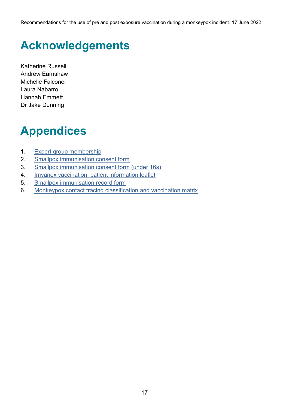Recommendations for the use of pre and post exposure vaccination during a monkeypox incident: 17 June 2022

## <span id="page-16-0"></span>**Acknowledgements**

Katherine Russell Andrew Earnshaw Michelle Falconer Laura Nabarro Hannah Emmett Dr Jake Dunning

# <span id="page-16-1"></span>**Appendices**

- 1. [Expert group membership](#page-17-0)
- 2. [Smallpox immunisation consent form](#page-18-0)
- 3. [Smallpox immunisation consent form \(under 16s\)](#page-21-0)
- 4. [Imvanex vaccination: patient information leaflet](#page-24-0)
- 5. [Smallpox immunisation record form](#page-30-0)
- 6. [Monkeypox contact tracing classification and vaccination matrix](#page-32-0)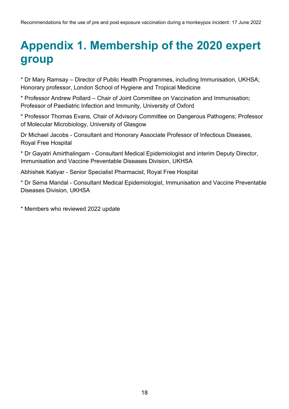### <span id="page-17-0"></span>**Appendix 1. Membership of the 2020 expert group**

\* Dr Mary Ramsay – Director of Public Health Programmes, including Immunisation, UKHSA; Honorary professor, London School of Hygiene and Tropical Medicine

\* Professor Andrew Pollard – Chair of Joint Committee on Vaccination and Immunisation; Professor of Paediatric Infection and Immunity, University of Oxford

\* Professor Thomas Evans, Chair of Advisory Committee on Dangerous Pathogens; Professor of Molecular Microbiology, University of Glasgow

Dr Michael Jacobs - Consultant and Honorary Associate Professor of Infectious Diseases, Royal Free Hospital

\* Dr Gayatri Amirthalingam - Consultant Medical Epidemiologist and interim Deputy Director, Immunisation and Vaccine Preventable Diseases Division, UKHSA

Abhishek Katiyar - Senior Specialist Pharmacist, Royal Free Hospital

\* Dr Sema Mandal - Consultant Medical Epidemiologist, Immunisation and Vaccine Preventable Diseases Division, UKHSA

\* Members who reviewed 2022 update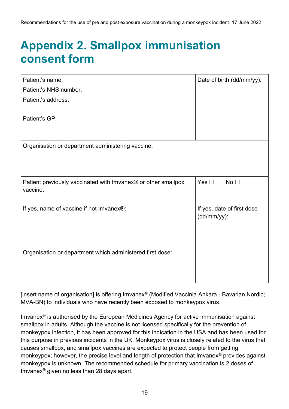### <span id="page-18-0"></span>**Appendix 2. Smallpox immunisation consent form**

| Patient's name:                                               | Date of birth (dd/mm/yy):        |
|---------------------------------------------------------------|----------------------------------|
| Patient's NHS number:                                         |                                  |
| Patient's address:                                            |                                  |
|                                                               |                                  |
| Patient's GP:                                                 |                                  |
|                                                               |                                  |
| Organisation or department administering vaccine:             |                                  |
|                                                               |                                  |
|                                                               |                                  |
|                                                               |                                  |
| Patient previously vaccinated with Imvanex® or other smallpox | Yes $\square$<br>No <sub>1</sub> |
| vaccine:                                                      |                                  |
| If yes, name of vaccine if not Imvanex®:                      | If yes, date of first dose       |
|                                                               | (dd/mm/yy):                      |
|                                                               |                                  |
|                                                               |                                  |
|                                                               |                                  |
| Organisation or department which administered first dose:     |                                  |
|                                                               |                                  |
|                                                               |                                  |
|                                                               |                                  |

[insert name of organisation] is offering Imvanex® (Modified Vaccinia Ankara - Bavarian Nordic; MVA-BN) to individuals who have recently been exposed to monkeypox virus.

Imvanex<sup>®</sup> is authorised by the European Medicines Agency for active immunisation against smallpox in adults. Although the vaccine is not licensed specifically for the prevention of monkeypox infection, it has been approved for this indication in the USA and has been used for this purpose in previous incidents in the UK. Monkeypox virus is closely related to the virus that causes smallpox, and smallpox vaccines are expected to protect people from getting monkeypox; however, the precise level and length of protection that Imvanex® provides against monkeypox is unknown. The recommended schedule for primary vaccination is 2 doses of Imvanex® given no less than 28 days apart.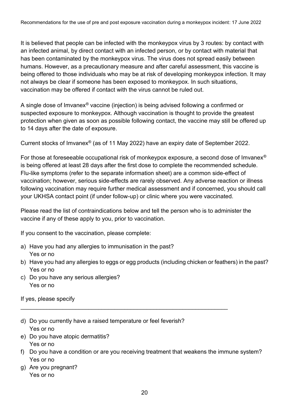It is believed that people can be infected with the monkeypox virus by 3 routes: by contact with an infected animal, by direct contact with an infected person, or by contact with material that has been contaminated by the monkeypox virus. The virus does not spread easily between humans. However, as a precautionary measure and after careful assessment, this vaccine is being offered to those individuals who may be at risk of developing monkeypox infection. It may not always be clear if someone has been exposed to monkeypox. In such situations, vaccination may be offered if contact with the virus cannot be ruled out.

A single dose of Imvanex® vaccine (injection) is being advised following a confirmed or suspected exposure to monkeypox. Although vaccination is thought to provide the greatest protection when given as soon as possible following contact, the vaccine may still be offered up to 14 days after the date of exposure.

Current stocks of Imvanex® (as of 11 May 2022) have an expiry date of September 2022.

For those at foreseeable occupational risk of monkeypox exposure, a second dose of Imvanex® is being offered at least 28 days after the first dose to complete the recommended schedule. Flu-like symptoms (refer to the separate information sheet) are a common side-effect of vaccination; however, serious side-effects are rarely observed. Any adverse reaction or illness following vaccination may require further medical assessment and if concerned, you should call your UKHSA contact point (if under follow-up) or clinic where you were vaccinated.

Please read the list of contraindications below and tell the person who is to administer the vaccine if any of these apply to you, prior to vaccination.

If you consent to the vaccination, please complete:

- a) Have you had any allergies to immunisation in the past? Yes or no
- b) Have you had any allergies to eggs or egg products (including chicken or feathers) in the past? Yes or no
- c) Do you have any serious allergies? Yes or no

If yes, please specify

d) Do you currently have a raised temperature or feel feverish? Yes or no

\_\_\_\_\_\_\_\_\_\_\_\_\_\_\_\_\_\_\_\_\_\_\_\_\_\_\_\_\_\_\_\_\_\_\_\_\_\_\_\_\_\_\_\_\_\_\_\_\_\_\_\_\_\_\_\_\_\_\_\_\_\_\_\_

- e) Do you have atopic dermatitis? Yes or no
- f) Do you have a condition or are you receiving treatment that weakens the immune system? Yes or no
- g) Are you pregnant? Yes or no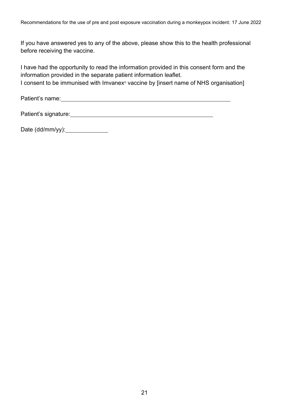If you have answered yes to any of the above, please show this to the health professional before receiving the vaccine.

I have had the opportunity to read the information provided in this consent form and the information provided in the separate patient information leaflet. I consent to be immunised with Imvanex<sup>®</sup> vaccine by [insert name of NHS organisation]

Patient's name:

Patient's signature: The state of the state of the state of the state of the state of the state of the state of the state of the state of the state of the state of the state of the state of the state of the state of the st

Date (dd/mm/yy):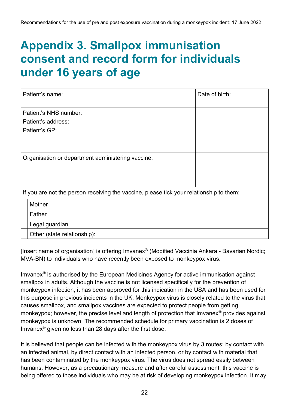### <span id="page-21-0"></span>**Appendix 3. Smallpox immunisation consent and record form for individuals under 16 years of age**

| Patient's name:                                                                         | Date of birth: |  |  |  |
|-----------------------------------------------------------------------------------------|----------------|--|--|--|
| Patient's NHS number:                                                                   |                |  |  |  |
| Patient's address:                                                                      |                |  |  |  |
| Patient's GP:                                                                           |                |  |  |  |
|                                                                                         |                |  |  |  |
| Organisation or department administering vaccine:                                       |                |  |  |  |
|                                                                                         |                |  |  |  |
|                                                                                         |                |  |  |  |
| If you are not the person receiving the vaccine, please tick your relationship to them: |                |  |  |  |
| Mother                                                                                  |                |  |  |  |
| Father                                                                                  |                |  |  |  |
| Legal guardian                                                                          |                |  |  |  |
| Other (state relationship):                                                             |                |  |  |  |

[Insert name of organisation] is offering Imvanex<sup>®</sup> (Modified Vaccinia Ankara - Bavarian Nordic; MVA-BN) to individuals who have recently been exposed to monkeypox virus.

Imvanex<sup>®</sup> is authorised by the European Medicines Agency for active immunisation against smallpox in adults. Although the vaccine is not licensed specifically for the prevention of monkeypox infection, it has been approved for this indication in the USA and has been used for this purpose in previous incidents in the UK. Monkeypox virus is closely related to the virus that causes smallpox, and smallpox vaccines are expected to protect people from getting monkeypox; however, the precise level and length of protection that Imvanex<sup>®</sup> provides against monkeypox is unknown. The recommended schedule for primary vaccination is 2 doses of Imvanex® given no less than 28 days after the first dose.

It is believed that people can be infected with the monkeypox virus by 3 routes: by contact with an infected animal, by direct contact with an infected person, or by contact with material that has been contaminated by the monkeypox virus. The virus does not spread easily between humans. However, as a precautionary measure and after careful assessment, this vaccine is being offered to those individuals who may be at risk of developing monkeypox infection. It may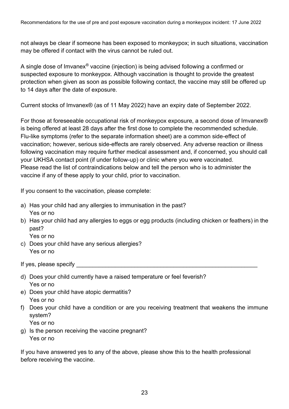not always be clear if someone has been exposed to monkeypox; in such situations, vaccination may be offered if contact with the virus cannot be ruled out.

A single dose of Imvanex® vaccine (injection) is being advised following a confirmed or suspected exposure to monkeypox. Although vaccination is thought to provide the greatest protection when given as soon as possible following contact, the vaccine may still be offered up to 14 days after the date of exposure.

Current stocks of Imvanex® (as of 11 May 2022) have an expiry date of September 2022.

For those at foreseeable occupational risk of monkeypox exposure, a second dose of Imvanex® is being offered at least 28 days after the first dose to complete the recommended schedule. Flu-like symptoms (refer to the separate information sheet) are a common side-effect of vaccination; however, serious side-effects are rarely observed. Any adverse reaction or illness following vaccination may require further medical assessment and, if concerned, you should call your UKHSA contact point (if under follow-up) or clinic where you were vaccinated. Please read the list of contraindications below and tell the person who is to administer the vaccine if any of these apply to your child, prior to vaccination.

If you consent to the vaccination, please complete:

- a) Has your child had any allergies to immunisation in the past? Yes or no
- b) Has your child had any allergies to eggs or egg products (including chicken or feathers) in the past?

Yes or no

c) Does your child have any serious allergies? Yes or no

If yes, please specify **Example 3** 

- d) Does your child currently have a raised temperature or feel feverish? Yes or no
- e) Does your child have atopic dermatitis? Yes or no
- f) Does your child have a condition or are you receiving treatment that weakens the immune system?

Yes or no

g) Is the person receiving the vaccine pregnant? Yes or no

If you have answered yes to any of the above, please show this to the health professional before receiving the vaccine.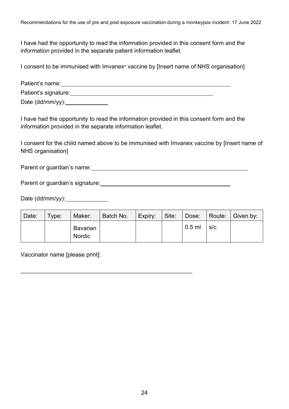I have had the opportunity to read the information provided in this consent form and the information provided in the separate patient information leaflet.

I consent to be immunised with Imvanex® vaccine by [Insert name of NHS organisation]

| Patient's name:      |  |
|----------------------|--|
| Patient's signature: |  |
| Date $(dd/mm/yy)$ :  |  |

I have had the opportunity to read the information provided in this consent form and the information provided in the separate information leaflet.

I consent for the child named above to be immunised with Imvanex vaccine by [Insert name of NHS organisation]

Parent or guardian's name:  $\sqrt{2\pi}$  and  $\sqrt{2\pi}$  and  $\sqrt{2\pi}$  and  $\sqrt{2\pi}$  and  $\sqrt{2\pi}$  and  $\sqrt{2\pi}$  and  $\sqrt{2\pi}$  and  $\sqrt{2\pi}$  and  $\sqrt{2\pi}$  and  $\sqrt{2\pi}$  and  $\sqrt{2\pi}$  and  $\sqrt{2\pi}$  and  $\sqrt{2\pi}$  and  $\sqrt{2\pi}$  and

\_\_\_\_\_\_\_\_\_\_\_\_\_\_\_\_\_\_\_\_\_\_\_\_\_\_\_\_\_\_\_\_\_\_\_\_\_\_\_\_\_\_\_\_\_\_\_\_\_\_\_\_\_

Parent or guardian's signature:

Date (dd/mm/yy):

| Date: | Type: | Maker:             | Batch No. | Expiry: Site: |          |     | Dose:   Route:   Given by: |
|-------|-------|--------------------|-----------|---------------|----------|-----|----------------------------|
|       |       | Bavarian<br>Nordic |           |               | $0.5$ ml | S/C |                            |

Vaccinator name [please print]: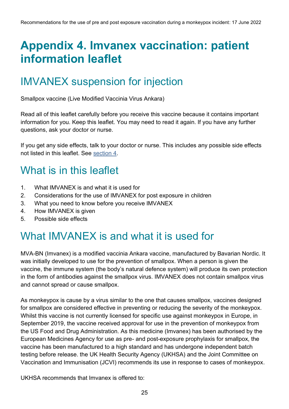### <span id="page-24-0"></span>**Appendix 4. Imvanex vaccination: patient information leaflet**

### IMVANEX suspension for injection

Smallpox vaccine (Live Modified Vaccinia Virus Ankara)

Read all of this leaflet carefully before you receive this vaccine because it contains important information for you. Keep this leaflet. You may need to read it again. If you have any further questions, ask your doctor or nurse.

If you get any side effects, talk to your doctor or nurse. This includes any possible side effects not listed in this leaflet. See [section 4.](#page-10-1)

### What is in this leaflet

- 1. What IMVANEX is and what it is used for
- 2. Considerations for the use of IMVANEX for post exposure in children
- 3. What you need to know before you receive IMVANEX
- 4. How IMVANEX is given
- 5. Possible side effects

#### What IMVANEX is and what it is used for

MVA-BN (Imvanex) is a modified vaccinia Ankara vaccine, manufactured by Bavarian Nordic. It was initially developed to use for the prevention of smallpox. When a person is given the vaccine, the immune system (the body's natural defence system) will produce its own protection in the form of antibodies against the smallpox virus. IMVANEX does not contain smallpox virus and cannot spread or cause smallpox.

As monkeypox is cause by a virus similar to the one that causes smallpox, vaccines designed for smallpox are considered effective in preventing or reducing the severity of the monkeypox. Whilst this vaccine is not currently licensed for specific use against monkeypox in Europe, in September 2019, the vaccine received approval for use in the prevention of monkeypox from the US Food and Drug Administration. As this medicine (Imvanex) has been authorised by the European Medicines Agency for use as pre- and post-exposure prophylaxis for smallpox, the vaccine has been manufactured to a high standard and has undergone independent batch testing before release. the UK Health Security Agency (UKHSA) and the Joint Committee on Vaccination and Immunisation (JCVI) recommends its use in response to cases of monkeypox.

UKHSA recommends that Imvanex is offered to: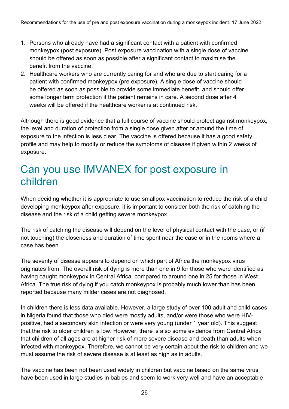- 1. Persons who already have had a significant contact with a patient with confirmed monkeypox (post exposure). Post exposure vaccination with a single dose of vaccine should be offered as soon as possible after a significant contact to maximise the benefit from the vaccine.
- 2. Healthcare workers who are currently caring for and who are due to start caring for a patient with confirmed monkeypox (pre exposure). A single dose of vaccine should be offered as soon as possible to provide some immediate benefit, and should offer some longer term protection if the patient remains in care. A second dose after 4 weeks will be offered if the healthcare worker is at continued risk.

Although there is good evidence that a full course of vaccine should protect against monkeypox, the level and duration of protection from a single dose given after or around the time of exposure to the infection is less clear. The vaccine is offered because it has a good safety profile and may help to modify or reduce the symptoms of disease if given within 2 weeks of exposure.

#### Can you use IMVANEX for post exposure in children

When deciding whether it is appropriate to use smallpox vaccination to reduce the risk of a child developing monkeypox after exposure, it is important to consider both the risk of catching the disease and the risk of a child getting severe monkeypox.

The risk of catching the disease will depend on the level of physical contact with the case, or (if not touching) the closeness and duration of time spent near the case or in the rooms where a case has been.

The severity of disease appears to depend on which part of Africa the monkeypox virus originates from. The overall risk of dying is more than one in 9 for those who were identified as having caught monkeypox in Central Africa, compared to around one in 25 for those in West Africa. The true risk of dying if you catch monkeypox is probably much lower than has been reported because many milder cases are not diagnosed.

In children there is less data available. However, a large study of over 100 adult and child cases in Nigeria found that those who died were mostly adults, and/or were those who were HIVpositive, had a secondary skin infection or were very young (under 1 year old). This suggest that the risk to older children is low. However, there is also some evidence from Central Africa that children of all ages are at higher risk of more severe disease and death than adults when infected with monkeypox. Therefore, we cannot be very certain about the risk to children and we must assume the risk of severe disease is at least as high as in adults.

The vaccine has been not been used widely in children but vaccine based on the same virus have been used in large studies in babies and seem to work very well and have an acceptable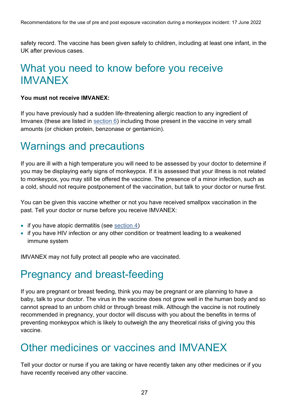safety record. The vaccine has been given safely to children, including at least one infant, in the UK after previous cases.

#### What you need to know before you receive IMVANEX

#### **You must not receive IMVANEX:**

If you have previously had a sudden life-threatening allergic reaction to any ingredient of Imvanex (these are listed in [section 6\)](#page-11-2) including those present in the vaccine in very small amounts (or chicken protein, benzonase or gentamicin).

#### Warnings and precautions

If you are ill with a high temperature you will need to be assessed by your doctor to determine if you may be displaying early signs of monkeypox. If it is assessed that your illness is not related to monkeypox, you may still be offered the vaccine. The presence of a minor infection, such as a cold, should not require postponement of the vaccination, but talk to your doctor or nurse first.

You can be given this vaccine whether or not you have received smallpox vaccination in the past. Tell your doctor or nurse before you receive IMVANEX:

- if you have atopic dermatitis (see [section 4\)](#page-10-1)
- if you have HIV infection or any other condition or treatment leading to a weakened immune system

IMVANEX may not fully protect all people who are vaccinated.

### Pregnancy and breast-feeding

If you are pregnant or breast feeding, think you may be pregnant or are planning to have a baby, talk to your doctor. The virus in the vaccine does not grow well in the human body and so cannot spread to an unborn child or through breast milk. Although the vaccine is not routinely recommended in pregnancy, your doctor will discuss with you about the benefits in terms of preventing monkeypox which is likely to outweigh the any theoretical risks of giving you this vaccine.

#### Other medicines or vaccines and IMVANEX

Tell your doctor or nurse if you are taking or have recently taken any other medicines or if you have recently received any other vaccine.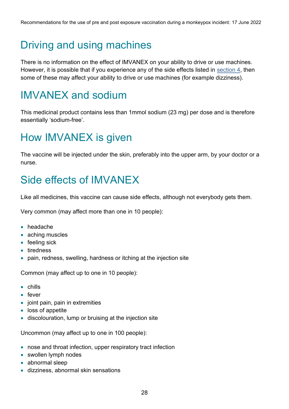### Driving and using machines

There is no information on the effect of IMVANEX on your ability to drive or use machines. However, it is possible that if you experience any of the side effects listed in [section 4,](#page-10-1) then some of these may affect your ability to drive or use machines (for example dizziness).

### IMVANEX and sodium

This medicinal product contains less than 1mmol sodium (23 mg) per dose and is therefore essentially 'sodium-free'.

### How IMVANEX is given

The vaccine will be injected under the skin, preferably into the upper arm, by your doctor or a nurse.

### Side effects of IMVANEX

Like all medicines, this vaccine can cause side effects, although not everybody gets them.

Very common (may affect more than one in 10 people):

- headache
- aching muscles
- feeling sick
- tiredness
- pain, redness, swelling, hardness or itching at the injection site

Common (may affect up to one in 10 people):

- chills
- fever
- joint pain, pain in extremities
- loss of appetite
- discolouration, lump or bruising at the injection site

Uncommon (may affect up to one in 100 people):

- nose and throat infection, upper respiratory tract infection
- swollen lymph nodes
- abnormal sleep
- dizziness, abnormal skin sensations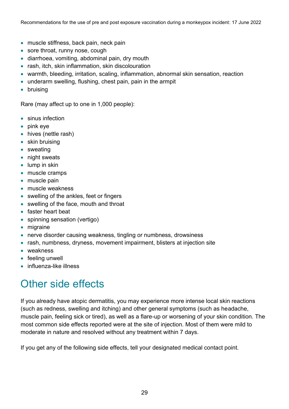- muscle stiffness, back pain, neck pain
- sore throat, runny nose, cough
- diarrhoea, vomiting, abdominal pain, dry mouth
- rash, itch, skin inflammation, skin discolouration
- warmth, bleeding, irritation, scaling, inflammation, abnormal skin sensation, reaction
- underarm swelling, flushing, chest pain, pain in the armpit
- bruising

Rare (may affect up to one in 1,000 people):

- sinus infection
- pink eye
- hives (nettle rash)
- skin bruising
- sweating
- night sweats
- lump in skin
- muscle cramps
- muscle pain
- muscle weakness
- swelling of the ankles, feet or fingers
- swelling of the face, mouth and throat
- faster heart beat
- spinning sensation (vertigo)
- migraine
- nerve disorder causing weakness, tingling or numbness, drowsiness
- rash, numbness, dryness, movement impairment, blisters at injection site
- weakness
- feeling unwell
- influenza-like illness

### Other side effects

If you already have atopic dermatitis, you may experience more intense local skin reactions (such as redness, swelling and itching) and other general symptoms (such as headache, muscle pain, feeling sick or tired), as well as a flare-up or worsening of your skin condition. The most common side effects reported were at the site of injection. Most of them were mild to moderate in nature and resolved without any treatment within 7 days.

If you get any of the following side effects, tell your designated medical contact point.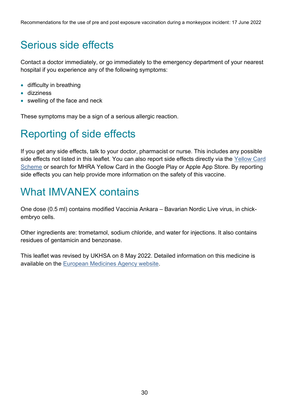### Serious side effects

Contact a doctor immediately, or go immediately to the emergency department of your nearest hospital if you experience any of the following symptoms:

- difficulty in breathing
- dizziness
- swelling of the face and neck

These symptoms may be a sign of a serious allergic reaction.

### Reporting of side effects

If you get any side effects, talk to your doctor, pharmacist or nurse. This includes any possible side effects not listed in this leaflet. You can also report side effects directly via the [Yellow Card](https://yellowcard.mhra.gov.uk/)  [Scheme](https://yellowcard.mhra.gov.uk/) or search for MHRA Yellow Card in the Google Play or Apple App Store. By reporting side effects you can help provide more information on the safety of this vaccine.

### What IMVANEX contains

One dose (0.5 ml) contains modified Vaccinia Ankara – Bavarian Nordic Live virus, in chickembryo cells.

Other ingredients are: trometamol, sodium chloride, and water for injections. It also contains residues of gentamicin and benzonase.

This leaflet was revised by UKHSA on 8 May 2022. Detailed information on this medicine is available on the [European Medicines Agency website.](https://www.ema.europa.eu/en/)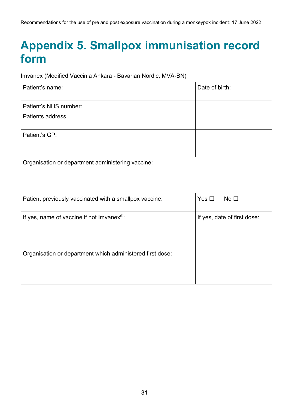### <span id="page-30-0"></span>**Appendix 5. Smallpox immunisation record form**

Imvanex (Modified Vaccinia Ankara - Bavarian Nordic; MVA-BN)

| Patient's name:                                           | Date of birth:                   |
|-----------------------------------------------------------|----------------------------------|
| Patient's NHS number:                                     |                                  |
| Patients address:                                         |                                  |
| Patient's GP:                                             |                                  |
| Organisation or department administering vaccine:         |                                  |
| Patient previously vaccinated with a smallpox vaccine:    | No <sub>1</sub><br>Yes $\square$ |
| If yes, name of vaccine if not Imvanex <sup>®</sup> :     | If yes, date of first dose:      |
| Organisation or department which administered first dose: |                                  |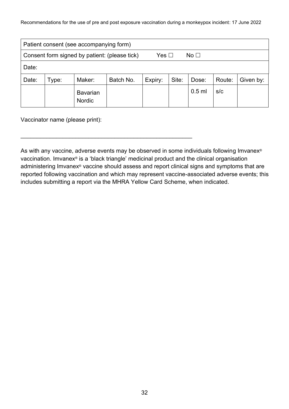Recommendations for the use of pre and post exposure vaccination during a monkeypox incident: 17 June 2022

| Patient consent (see accompanying form)                                     |       |                                  |           |         |       |          |        |           |
|-----------------------------------------------------------------------------|-------|----------------------------------|-----------|---------|-------|----------|--------|-----------|
| Consent form signed by patient: (please tick)<br>Yes $\Box$<br>No $\square$ |       |                                  |           |         |       |          |        |           |
| Date:                                                                       |       |                                  |           |         |       |          |        |           |
| Date:                                                                       | Type: | Maker:                           | Batch No. | Expiry: | Site: | Dose:    | Route: | Given by: |
|                                                                             |       | <b>Bavarian</b><br><b>Nordic</b> |           |         |       | $0.5$ ml | s/c    |           |

Vaccinator name (please print):

As with any vaccine, adverse events may be observed in some individuals following Imvanex<sup>®</sup> vaccination. Imvanex® is a 'black triangle' medicinal product and the clinical organisation administering Imvanex® vaccine should assess and report clinical signs and symptoms that are reported following vaccination and which may represent vaccine-associated adverse events; this includes submitting a report via the MHRA Yellow Card Scheme, when indicated.

\_\_\_\_\_\_\_\_\_\_\_\_\_\_\_\_\_\_\_\_\_\_\_\_\_\_\_\_\_\_\_\_\_\_\_\_\_\_\_\_\_\_\_\_\_\_\_\_\_\_\_\_\_